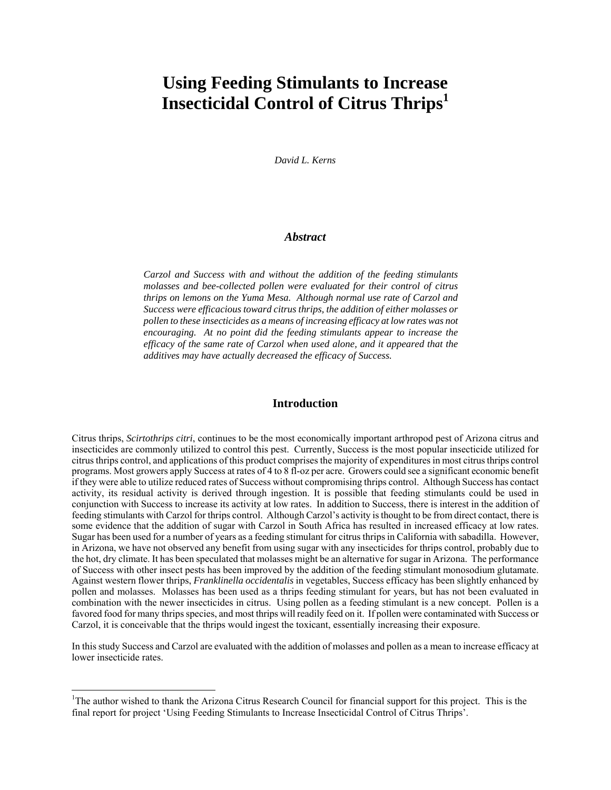# **Using Feeding Stimulants to Increase Insecticidal Control of Citrus Thrips<sup>1</sup>**

*David L. Kerns*

## *Abstract*

*Carzol and Success with and without the addition of the feeding stimulants molasses and bee-collected pollen were evaluated for their control of citrus thrips on lemons on the Yuma Mesa. Although normal use rate of Carzol and Success were efficacious toward citrus thrips, the addition of either molasses or pollen to these insecticides as a means of increasing efficacy at low rates was not encouraging. At no point did the feeding stimulants appear to increase the efficacy of the same rate of Carzol when used alone, and it appeared that the additives may have actually decreased the efficacy of Success.* 

#### **Introduction**

Citrus thrips, *Scirtothrips citri*, continues to be the most economically important arthropod pest of Arizona citrus and insecticides are commonly utilized to control this pest. Currently, Success is the most popular insecticide utilized for citrus thrips control, and applications of this product comprises the majority of expenditures in most citrus thrips control programs. Most growers apply Success at rates of 4 to 8 fl-oz per acre. Growers could see a significant economic benefit if they were able to utilize reduced rates of Success without compromising thrips control. Although Success has contact activity, its residual activity is derived through ingestion. It is possible that feeding stimulants could be used in conjunction with Success to increase its activity at low rates. In addition to Success, there is interest in the addition of feeding stimulants with Carzol for thrips control. Although Carzol's activity is thought to be from direct contact, there is some evidence that the addition of sugar with Carzol in South Africa has resulted in increased efficacy at low rates. Sugar has been used for a number of years as a feeding stimulant for citrus thrips in California with sabadilla. However, in Arizona, we have not observed any benefit from using sugar with any insecticides for thrips control, probably due to the hot, dry climate. It has been speculated that molasses might be an alternative for sugar in Arizona. The performance of Success with other insect pests has been improved by the addition of the feeding stimulant monosodium glutamate. Against western flower thrips, *Franklinella occidentalis* in vegetables, Success efficacy has been slightly enhanced by pollen and molasses. Molasses has been used as a thrips feeding stimulant for years, but has not been evaluated in combination with the newer insecticides in citrus. Using pollen as a feeding stimulant is a new concept. Pollen is a favored food for many thrips species, and most thrips will readily feed on it. If pollen were contaminated with Success or Carzol, it is conceivable that the thrips would ingest the toxicant, essentially increasing their exposure.

In this study Success and Carzol are evaluated with the addition of molasses and pollen as a mean to increase efficacy at lower insecticide rates.

i

<sup>&</sup>lt;sup>1</sup>The author wished to thank the Arizona Citrus Research Council for financial support for this project. This is the final report for project 'Using Feeding Stimulants to Increase Insecticidal Control of Citrus Thrips'.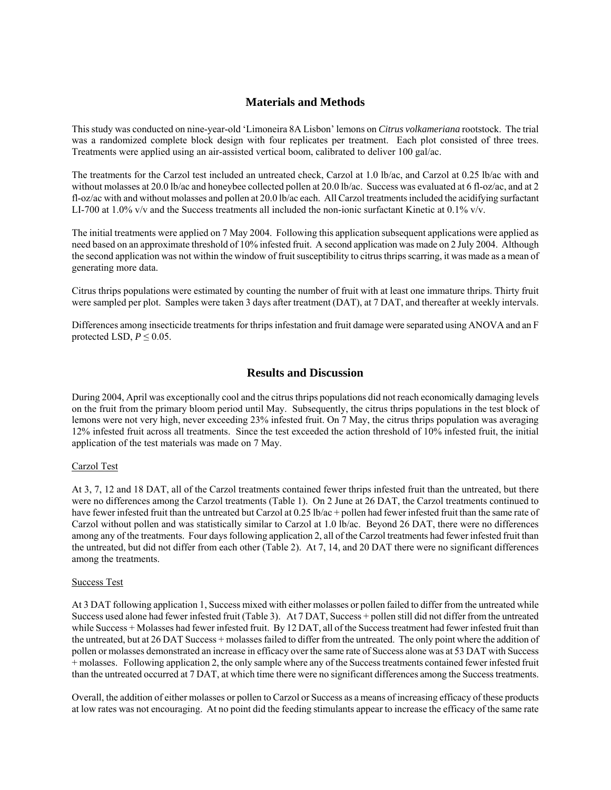# **Materials and Methods**

This study was conducted on nine-year-old 'Limoneira 8A Lisbon' lemons on *Citrus volkameriana* rootstock. The trial was a randomized complete block design with four replicates per treatment. Each plot consisted of three trees. Treatments were applied using an air-assisted vertical boom, calibrated to deliver 100 gal/ac.

The treatments for the Carzol test included an untreated check, Carzol at 1.0 lb/ac, and Carzol at 0.25 lb/ac with and without molasses at 20.0 lb/ac and honeybee collected pollen at 20.0 lb/ac. Success was evaluated at 6 fl-oz/ac, and at 2 fl-oz/ac with and without molasses and pollen at 20.0 lb/ac each. All Carzol treatments included the acidifying surfactant LI-700 at 1.0% v/v and the Success treatments all included the non-ionic surfactant Kinetic at 0.1% v/v.

The initial treatments were applied on 7 May 2004. Following this application subsequent applications were applied as need based on an approximate threshold of 10% infested fruit. A second application was made on 2 July 2004. Although the second application was not within the window of fruit susceptibility to citrus thrips scarring, it was made as a mean of generating more data.

Citrus thrips populations were estimated by counting the number of fruit with at least one immature thrips. Thirty fruit were sampled per plot. Samples were taken 3 days after treatment (DAT), at 7 DAT, and thereafter at weekly intervals.

Differences among insecticide treatments for thrips infestation and fruit damage were separated using ANOVA and an F protected LSD,  $P \leq 0.05$ .

## **Results and Discussion**

During 2004, April was exceptionally cool and the citrus thrips populations did not reach economically damaging levels on the fruit from the primary bloom period until May. Subsequently, the citrus thrips populations in the test block of lemons were not very high, never exceeding 23% infested fruit. On 7 May, the citrus thrips population was averaging 12% infested fruit across all treatments. Since the test exceeded the action threshold of 10% infested fruit, the initial application of the test materials was made on 7 May.

### Carzol Test

At 3, 7, 12 and 18 DAT, all of the Carzol treatments contained fewer thrips infested fruit than the untreated, but there were no differences among the Carzol treatments (Table 1). On 2 June at 26 DAT, the Carzol treatments continued to have fewer infested fruit than the untreated but Carzol at 0.25 lb/ac + pollen had fewer infested fruit than the same rate of Carzol without pollen and was statistically similar to Carzol at 1.0 lb/ac. Beyond 26 DAT, there were no differences among any of the treatments. Four days following application 2, all of the Carzol treatments had fewer infested fruit than the untreated, but did not differ from each other (Table 2). At 7, 14, and 20 DAT there were no significant differences among the treatments.

#### Success Test

At 3 DAT following application 1, Success mixed with either molasses or pollen failed to differ from the untreated while Success used alone had fewer infested fruit (Table 3). At 7 DAT, Success + pollen still did not differ from the untreated while Success + Molasses had fewer infested fruit. By 12 DAT, all of the Success treatment had fewer infested fruit than the untreated, but at 26 DAT Success + molasses failed to differ from the untreated. The only point where the addition of pollen or molasses demonstrated an increase in efficacy over the same rate of Success alone was at 53 DAT with Success + molasses. Following application 2, the only sample where any of the Success treatments contained fewer infested fruit than the untreated occurred at 7 DAT, at which time there were no significant differences among the Success treatments.

Overall, the addition of either molasses or pollen to Carzol or Success as a means of increasing efficacy of these products at low rates was not encouraging. At no point did the feeding stimulants appear to increase the efficacy of the same rate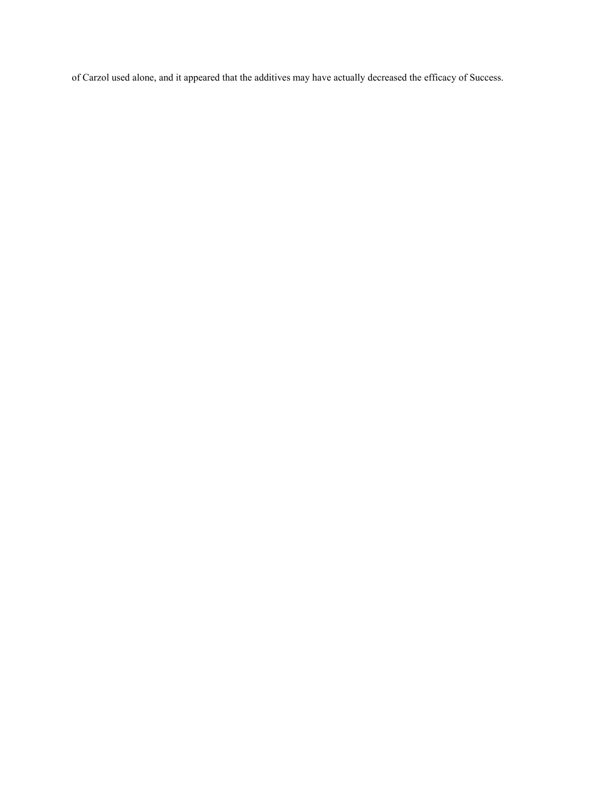of Carzol used alone, and it appeared that the additives may have actually decreased the efficacy of Success.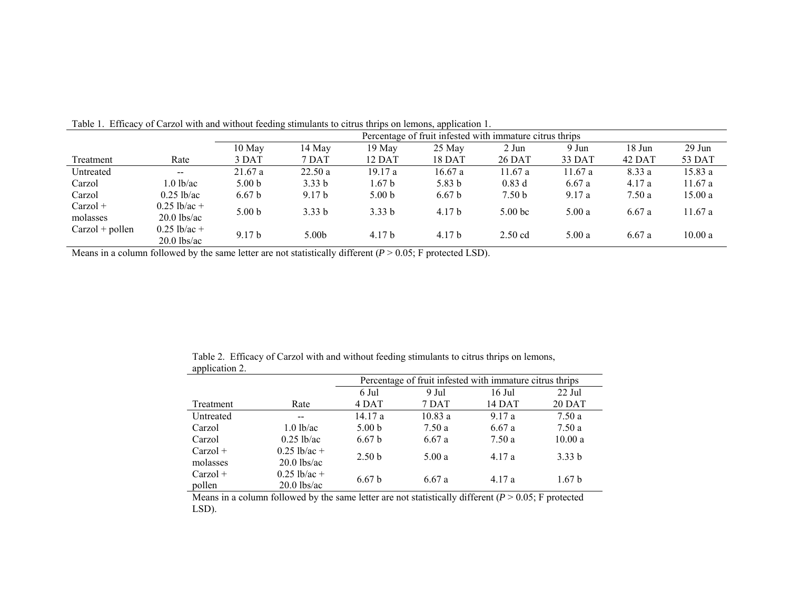|                        |                                 | Percentage of fruit infested with immature citrus thrips |                   |                   |                   |                    |        |        |          |
|------------------------|---------------------------------|----------------------------------------------------------|-------------------|-------------------|-------------------|--------------------|--------|--------|----------|
|                        |                                 | $10$ May                                                 | 14 May            | 19 May            | 25 May            | 2 Jun              | 9 Jun  | 18 Jun | $29$ Jun |
| Treatment              | Rate                            | 3 DAT                                                    | 7 DAT             | 12 DAT            | 18 DAT            | 26 DAT             | 33 DAT | 42 DAT | 53 DAT   |
| Untreated              | $- -$                           | 21.67a                                                   | 22.50a            | 19.17 a           | 16.67a            | 11.67a             | 11.67a | 8.33 a | 15.83 a  |
| Carzol                 | 1.0 lb/ac                       | 5.00 <sub>b</sub>                                        | 3.33 <sub>b</sub> | 1.67 b            | 5.83 <sub>b</sub> | $0.83$ d           | 6.67a  | 4.17a  | 11.67 a  |
| Carzol                 | $0.25$ lb/ac                    | 6.67 <sub>b</sub>                                        | 9.17 <sub>b</sub> | 5.00 <sub>b</sub> | 6.67 <sub>b</sub> | 7.50 <sub>b</sub>  | 9.17a  | 7.50a  | 15.00 a  |
| $Carzol +$<br>molasses | $0.25$ lb/ac +<br>$20.0$ lbs/ac | 5.00 <sub>b</sub>                                        | 3.33 <sub>b</sub> | 3.33 <sub>b</sub> | 4.17 <sub>b</sub> | 5.00 <sub>bc</sub> | 5.00a  | 6.67a  | 11.67 a  |
| $Carzol + pollen$      | $0.25$ lb/ac +<br>$20.0$ lbs/ac | 9.17 <sub>b</sub>                                        | 5.00 <sub>b</sub> | 4.17 <sub>b</sub> | 4.17 <sub>b</sub> | $2.50$ cd          | 5.00a  | 6.67a  | 10.00 a  |

Table 1. Efficacy of Carzol with and without feeding stimulants to citrus thrips on lemons, application 1.

Means in a column followed by the same letter are not statistically different ( $P > 0.05$ ; F protected LSD).

| WPP        |                |                                                          |        |        |                   |  |  |  |
|------------|----------------|----------------------------------------------------------|--------|--------|-------------------|--|--|--|
|            |                | Percentage of fruit infested with immature citrus thrips |        |        |                   |  |  |  |
|            |                | 6 Jul                                                    | 9 Jul  | 16 Jul | $22$ Jul          |  |  |  |
| Treatment  | Rate           | 4 DAT                                                    | 7 DAT  | 14 DAT | <b>20 DAT</b>     |  |  |  |
| Untreated  | $- -$          | 14.17 a                                                  | 10.83a | 9.17a  | 7.50a             |  |  |  |
| Carzol     | $1.0$ lb/ac    | 5.00 <sub>b</sub>                                        | 7.50 a | 6.67a  | 7.50 a            |  |  |  |
| Carzol     | $0.25$ lb/ac   | 6.67 <sub>b</sub>                                        | 6.67a  | 7.50 a | 10.00a            |  |  |  |
| $Carzol +$ | $0.25$ lb/ac + | 2.50 <sub>b</sub>                                        | 5.00a  | 4.17a  | 3.33 b            |  |  |  |
| molasses   | $20.0$ lbs/ac  |                                                          |        |        |                   |  |  |  |
| $Carzol +$ | $0.25$ lb/ac + | 6.67 <sub>b</sub>                                        | 6.67a  | 4.17a  | 1.67 <sub>b</sub> |  |  |  |
| pollen     | $20.0$ lbs/ac  |                                                          |        |        |                   |  |  |  |

Table 2. Efficacy of Carzol with and without feeding stimulants to citrus thrips on lemons, application 2.

Means in a column followed by the same letter are not statistically different  $(P > 0.05$ ; F protected LSD).